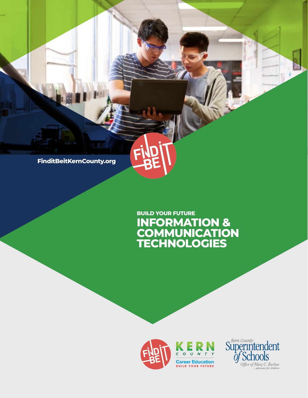**FinditBeitKernCounty.org**

## **INFORMATION & COMMUNICATION TECHNOLOGIES BUILD YOUR FUTURE**